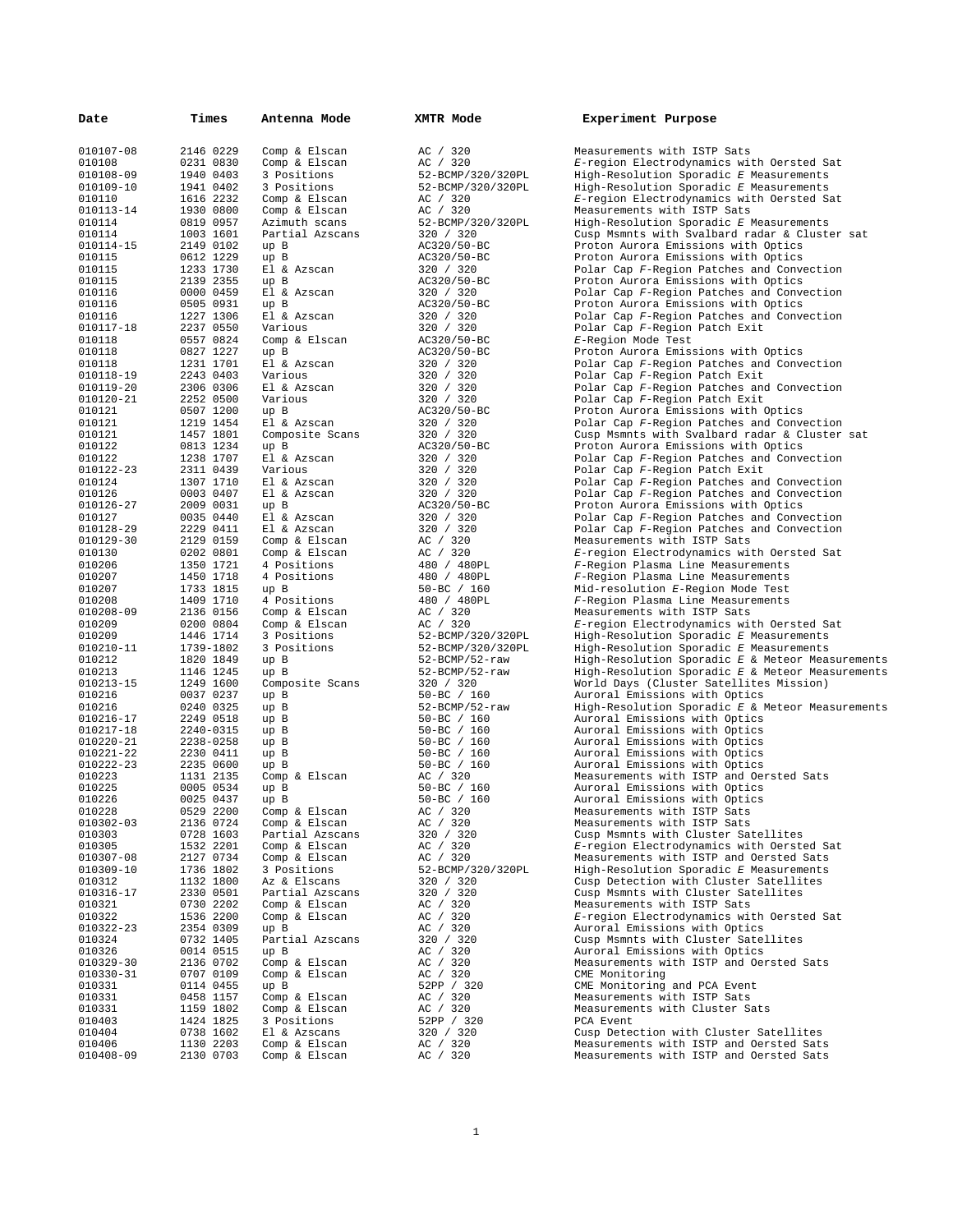| Date                   | Times                  | Antenna Mode          | XMTR Mode                        | Experiment Purpose                                                               |
|------------------------|------------------------|-----------------------|----------------------------------|----------------------------------------------------------------------------------|
|                        |                        |                       |                                  |                                                                                  |
| 010107-08              | 2146 0229              | Comp & Elscan         | AC / 320                         | Measurements with ISTP Sats                                                      |
| 010108                 | 0231 0830              | Comp & Elscan         | AC / 320                         | E-region Electrodynamics with Oersted Sat                                        |
| 010108-09              | 1940 0403              | 3 Positions           | 52-BCMP/320/320PL                | High-Resolution Sporadic E Measurements                                          |
| 010109-10              | 1941 0402              | 3 Positions           | 52-BCMP/320/320PL                | High-Resolution Sporadic E Measurements                                          |
| 010110                 | 1616 2232              | Comp & Elscan         | AC / 320                         | E-region Electrodynamics with Oersted Sat                                        |
| 010113-14              | 1930 0800              | Comp & Elscan         | AC / 320                         | Measurements with ISTP Sats                                                      |
| 010114                 | 0819 0957              | Azimuth scans         | 52-BCMP/320/320PL                | High-Resolution Sporadic E Measurements                                          |
| 010114                 | 1003 1601              | Partial Azscans       | 320 / 320                        | Cusp Msmnts with Svalbard radar & Cluster sat                                    |
| 010114-15              | 2149 0102              | up B                  | AC320/50-BC                      | Proton Aurora Emissions with Optics                                              |
| 010115                 | 0612 1229              | up B                  | AC320/50-BC                      | Proton Aurora Emissions with Optics                                              |
| 010115                 | 1233 1730              | El & Azscan           | 320 / 320                        | Polar Cap F-Region Patches and Convection                                        |
| 010115                 | 2139 2355              | up B                  | AC320/50-BC                      | Proton Aurora Emissions with Optics                                              |
| 010116                 | 0000 0459              | El & Azscan           | 320 / 320                        | Polar Cap F-Region Patches and Convection                                        |
| 010116                 | 0505 0931              | up B                  | AC320/50-BC                      | Proton Aurora Emissions with Optics                                              |
| 010116                 | 1227 1306              | El & Azscan           | 320 / 320                        | Polar Cap F-Region Patches and Convection                                        |
| 010117-18              | 2237 0550              | Various               | 320 / 320                        | Polar Cap F-Region Patch Exit                                                    |
| 010118                 | 0557 0824              | Comp & Elscan         | AC320/50-BC                      | E-Region Mode Test                                                               |
| 010118                 | 0827 1227              | up B                  | AC320/50-BC                      | Proton Aurora Emissions with Optics                                              |
| 010118                 | 1231 1701              | El & Azscan           | 320 / 320                        | Polar Cap F-Region Patches and Convection                                        |
| 010118-19              | 2243 0403              | Various               | 320 / 320                        | Polar Cap F-Region Patch Exit                                                    |
| 010119-20              | 2306 0306              | El & Azscan           | 320 / 320                        | Polar Cap F-Region Patches and Convection                                        |
| 010120-21              | 2252 0500              | Various               | 320 / 320                        | Polar Cap F-Region Patch Exit                                                    |
| 010121                 | 0507 1200              | up B                  | AC320/50-BC                      | Proton Aurora Emissions with Optics                                              |
| 010121                 | 1219 1454              | El & Azscan           | 320 / 320                        | Polar Cap F-Region Patches and Convection                                        |
| 010121                 | 1457 1801              | Composite Scans       | 320 / 320                        | Cusp Msmnts with Svalbard radar & Cluster sat                                    |
| 010122                 | 0813 1234              | up B                  | AC320/50-BC                      | Proton Aurora Emissions with Optics                                              |
| 010122                 | 1238 1707              | El & Azscan           | 320 / 320                        | Polar Cap F-Region Patches and Convection                                        |
| 010122-23              | 2311 0439              | Various               | 320 / 320                        | Polar Cap F-Region Patch Exit                                                    |
| 010124                 | 1307 1710              | El & Azscan           | 320 / 320                        | Polar Cap F-Region Patches and Convection                                        |
|                        |                        |                       |                                  |                                                                                  |
| 010126                 | 0003 0407              | El & Azscan           | 320 / 320                        | Polar Cap F-Region Patches and Convection                                        |
| 010126-27              | 2009 0031<br>0035 0440 | up B<br>El & Azscan   | AC320/50-BC                      | Proton Aurora Emissions with Optics<br>Polar Cap F-Region Patches and Convection |
| 010127                 |                        |                       | 320 / 320                        | Polar Cap F-Region Patches and Convection                                        |
| 010128-29              | 2229 0411              | El & Azscan           | 320 / 320                        | Measurements with ISTP Sats                                                      |
| 010129-30              | 2129 0159              | Comp & Elscan         | AC / 320                         |                                                                                  |
| 010130                 | 0202 0801<br>1350 1721 | Comp & Elscan         | AC / 320                         | E-region Electrodynamics with Oersted Sat                                        |
| 010206                 |                        | 4 Positions           | 480 / 480PL                      | F-Region Plasma Line Measurements                                                |
| 010207                 | 1450 1718              | 4 Positions           | 480 / 480PL                      | F-Region Plasma Line Measurements                                                |
| 010207                 | 1733 1815              | up B                  | $50 - BC$ / 160                  | Mid-resolution E-Region Mode Test                                                |
| 010208                 | 1409 1710              | 4 Positions           | 480 / 480PL                      | F-Region Plasma Line Measurements                                                |
| 010208-09              | 2136 0156              | Comp & Elscan         | AC / 320                         | Measurements with ISTP Sats                                                      |
| 010209                 | 0200 0804              | Comp & Elscan         | AC / 320                         | E-region Electrodynamics with Oersted Sat                                        |
| 010209                 | 1446 1714              | 3 Positions           | 52-BCMP/320/320PL                | High-Resolution Sporadic E Measurements                                          |
| 010210-11              | 1739-1802              | 3 Positions           | 52-BCMP/320/320PL                | High-Resolution Sporadic E Measurements                                          |
| 010212                 | 1820 1849              | up B                  | $52 - BCMP / 52 - raw$           | High-Resolution Sporadic E & Meteor Measurements                                 |
| 010213                 | 1146 1245              | up B                  | $52 - BCMP / 52 - raw$           | High-Resolution Sporadic E & Meteor Measurements                                 |
| 010213-15              | 1249 1600              | Composite Scans       | 320 / 320                        | World Days (Cluster Satellites Mission)                                          |
| 010216                 | 0037 0237              | up B                  | $50 - BC$ / 160                  | Auroral Emissions with Optics                                                    |
| 010216                 | 0240 0325              | up B                  | $52 - BCMP/52 - raw$             | High-Resolution Sporadic E & Meteor Measurements                                 |
| 010216-17<br>010217-18 | 2249 0518              | up B                  | $50 - BC$ / 160                  | Auroral Emissions with Optics<br>Auroral Emissions with Optics                   |
|                        | 2240-0315              | up B                  | $50 - BC$ / 160                  |                                                                                  |
| 010220-21              | 2238-0258              | up B                  | $50 - BC$ / 160                  | Auroral Emissions with Optics                                                    |
| 010221-22              | 2230 0411              | up B                  | $50 - BC$ / 160<br>$50-BC$ / 160 | Auroral Emissions with Optics<br>Auroral Emissions with Optics                   |
| 010222-23<br>010223    | 2235 0600<br>1131 2135 | up B<br>Comp & Elscan | AC / 320                         | Measurements with ISTP and Oersted Sats                                          |
| 010225                 | 0005 0534              |                       | $50 - BC$ / 160                  |                                                                                  |
| 010226                 | 0025 0437              | up B<br>up B          | $50 - BC$ / 160                  | Auroral Emissions with Optics<br>Auroral Emissions with Optics                   |
| 010228                 | 0529 2200              | Comp & Elscan         | AC / 320                         |                                                                                  |
| $010302 - 03$          | 2136 0724              | Comp & Elscan         | AC / 320                         | Measurements with ISTP Sats<br>Measurements with ISTP Sats                       |
| 010303                 | 0728 1603              | Partial Azscans       | 320 / 320                        | Cusp Msmnts with Cluster Satellites                                              |
| 010305                 | 1532 2201              | Comp & Elscan         | AC / 320                         | E-region Electrodynamics with Oersted Sat                                        |
| 010307-08              | 2127 0734              | Comp & Elscan         | AC / 320                         | Measurements with ISTP and Oersted Sats                                          |
| 010309-10              | 1736 1802              | 3 Positions           | 52-BCMP/320/320PL                | High-Resolution Sporadic E Measurements                                          |
| 010312                 | 1132 1800              | Az & Elscans          | 320 / 320                        | Cusp Detection with Cluster Satellites                                           |
| 010316-17              | 2330 0501              | Partial Azscans       | 320 / 320                        | Cusp Msmnts with Cluster Satellites                                              |
| 010321                 | 0730 2202              | Comp & Elscan         | AC / 320                         | Measurements with ISTP Sats                                                      |
| 010322                 | 1536 2200              | Comp & Elscan         | AC / 320                         | E-region Electrodynamics with Oersted Sat                                        |
| 010322-23              | 2354 0309              | up B                  | AC / 320                         | Auroral Emissions with Optics                                                    |
| 010324                 | 0732 1405              | Partial Azscans       | 320 / 320                        | Cusp Msmnts with Cluster Satellites                                              |
| 010326                 | 0014 0515              | up B                  | AC / 320                         | Auroral Emissions with Optics                                                    |
| 010329-30              | 2136 0702              | Comp & Elscan         | AC / 320                         | Measurements with ISTP and Oersted Sats                                          |
| 010330-31              | 0707 0109              | Comp & Elscan         | AC / 320                         | CME Monitoring                                                                   |
| 010331                 | 0114 0455              | up B                  | 52PP / 320                       | CME Monitoring and PCA Event                                                     |
| 010331                 | 0458 1157              | Comp & Elscan         | AC / 320                         | Measurements with ISTP Sats                                                      |
| 010331                 | 1159 1802              | Comp & Elscan         | AC / 320                         | Measurements with Cluster Sats                                                   |
| 010403                 | 1424 1825              | 3 Positions           | 52PP / 320                       | PCA Event                                                                        |
| 010404                 | 0738 1602              | El & Azscans          | 320 / 320                        | Cusp Detection with Cluster Satellites                                           |
| 010406                 | 1130 2203              | Comp & Elscan         | AC / 320                         | Measurements with ISTP and Oersted Sats                                          |
| 010408-09              | 2130 0703              | Comp & Elscan         | AC / 320                         | Measurements with ISTP and Oersted Sats                                          |
|                        |                        |                       |                                  |                                                                                  |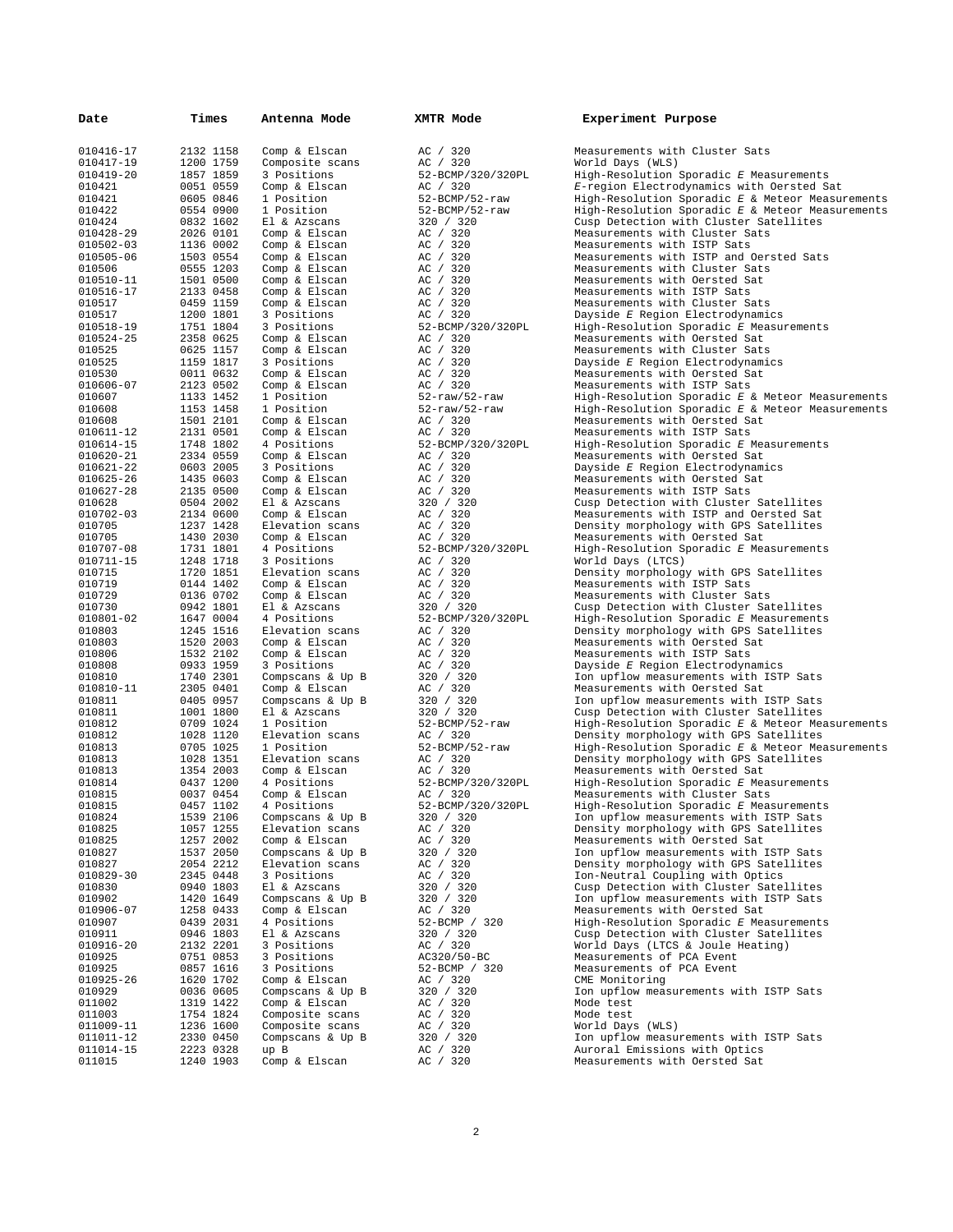| Date                   | Times                  | Antenna Mode                      | XMTR Mode              | Experiment Purpose                                                               |
|------------------------|------------------------|-----------------------------------|------------------------|----------------------------------------------------------------------------------|
| 010416-17              | 2132 1158              |                                   |                        | Measurements with Cluster Sats                                                   |
| 010417-19              | 1200 1759              | Comp & Elscan                     | AC / 320               |                                                                                  |
|                        |                        | Composite scans                   | AC / 320               | World Days (WLS)                                                                 |
| 010419-20              | 1857 1859              | 3 Positions                       | 52-BCMP/320/320PL      | High-Resolution Sporadic E Measurement                                           |
| 010421                 | 0051 0559              | Comp & Elscan                     | AC / 320               | E-region Electrodynamics with Oersted                                            |
| 010421                 | 0605 0846              | 1 Position                        | $52 - BCMP / 52 - raw$ | High-Resolution Sporadic E & Meteor Me                                           |
| 010422<br>010424       | 0554 0900              | 1 Position<br>El & Azscans        | $52 - BCMP / 52 - raw$ | High-Resolution Sporadic E & Meteor Me<br>Cusp Detection with Cluster Satellites |
|                        | 0832 1602              |                                   | 320 / 320<br>AC / 320  |                                                                                  |
| 010428-29<br>010502-03 | 2026 0101<br>1136 0002 | Comp & Elscan<br>Comp & Elscan    | AC / 320               | Measurements with Cluster Sats<br>Measurements with ISTP Sats                    |
| 010505-06              | 1503 0554              | Comp & Elscan                     | AC / 320               | Measurements with ISTP and Oersted Sat                                           |
| 010506                 | 0555 1203              | Comp & Elscan                     | AC / 320               | Measurements with Cluster Sats                                                   |
| 010510-11              | 1501 0500              | Comp & Elscan                     | AC / 320               | Measurements with Oersted Sat                                                    |
| 010516-17              | 2133 0458              | Comp & Elscan                     | AC / 320               | Measurements with ISTP Sats                                                      |
| 010517                 | 0459 1159              | Comp & Elscan                     | AC / 320               | Measurements with Cluster Sats                                                   |
| 010517                 | 1200 1801              | 3 Positions                       | AC / 320               | Dayside E Region Electrodynamics                                                 |
| 010518-19              | 1751 1804              | 3 Positions                       | 52-BCMP/320/320PL      | High-Resolution Sporadic E Measurement                                           |
| 010524-25              | 2358 0625              | Comp & Elscan                     | AC / 320               | Measurements with Oersted Sat                                                    |
| 010525                 | 0625 1157              | Comp & Elscan                     | AC / 320               | Measurements with Cluster Sats                                                   |
| 010525                 | 1159 1817              | 3 Positions                       | AC / 320               | Dayside E Region Electrodynamics                                                 |
| 010530                 | 0011 0632              | Comp & Elscan                     | AC / 320               | Measurements with Oersted Sat                                                    |
| 010606-07              | 2123 0502              | Comp & Elscan                     | AC / 320               | Measurements with ISTP Sats                                                      |
| 010607                 | 1133 1452              | 1 Position                        | $52 - raw/52 - raw$    | High-Resolution Sporadic E & Meteor Me                                           |
| 010608                 | 1153 1458              | 1 Position                        | $52 - raw/52 - raw$    | High-Resolution Sporadic E & Meteor Me                                           |
| 010608                 | 1501 2101              | Comp & Elscan                     | AC / 320               | Measurements with Oersted Sat                                                    |
| 010611-12              | 2131 0501              | Comp & Elscan                     | AC / 320               | Measurements with ISTP Sats                                                      |
| 010614-15              | 1748 1802              | 4 Positions                       | 52-BCMP/320/320PL      | High-Resolution Sporadic E Measurement                                           |
| 010620-21              | 2334 0559              | Comp & Elscan                     | AC / 320               | Measurements with Oersted Sat                                                    |
| 010621-22              | 0603 2005              | 3 Positions                       | AC / 320               | Dayside E Region Electrodynamics                                                 |
| 010625-26              | 1435 0603              | Comp & Elscan                     | AC / 320               | Measurements with Oersted Sat                                                    |
| 010627-28              | 2135 0500              | Comp & Elscan                     | AC / 320               | Measurements with ISTP Sats                                                      |
| 010628                 | 0504 2002              | El & Azscans                      | 320 / 320              | Cusp Detection with Cluster Satellites                                           |
| 010702-03              | 2134 0600              | Comp & Elscan                     | AC / 320               | Measurements with ISTP and Oersted Sat                                           |
| 010705<br>010705       | 1237 1428<br>1430 2030 | Elevation scans                   | AC / 320<br>AC / 320   | Density morphology with GPS Satellites<br>Measurements with Oersted Sat          |
| 010707-08              | 1731 1801              | Comp & Elscan<br>4 Positions      | 52-BCMP/320/320PL      | High-Resolution Sporadic E Measurement                                           |
| 010711-15              | 1248 1718              | 3 Positions                       | AC / 320               | World Days (LTCS)                                                                |
| 010715                 | 1720 1851              | Elevation scans                   | AC / 320               | Density morphology with GPS Satellites                                           |
| 010719                 | 0144 1402              | Comp & Elscan                     | AC / 320               | Measurements with ISTP Sats                                                      |
| 010729                 | 0136 0702              | Comp & Elscan                     | AC / 320               | Measurements with Cluster Sats                                                   |
| 010730                 | 0942 1801              | El & Azscans                      | 320 / 320              | Cusp Detection with Cluster Satellites                                           |
| 010801-02              | 1647 0004              | 4 Positions                       | 52-BCMP/320/320PL      | High-Resolution Sporadic E Measurement                                           |
| 010803                 | 1245 1516              | Elevation scans                   | AC / 320               | Density morphology with GPS Satellites                                           |
| 010803                 | 1520 2003              | Comp & Elscan                     | AC / 320               | Measurements with Oersted Sat                                                    |
| 010806                 | 1532 2102              | Comp & Elscan                     | AC / 320               | Measurements with ISTP Sats                                                      |
| 010808<br>010810       | 0933 1959<br>1740 2301 | 3 Positions                       | AC / 320<br>320 / 320  | Dayside E Region Electrodynamics<br>Ion upflow measurements with ISTP Sats       |
| 010810-11              | 2305 0401              | Compscans & Up B<br>Comp & Elscan | AC / 320               | Measurements with Oersted Sat                                                    |
| 010811                 | 0405 0957              | Compscans & Up B                  | 320 / 320              | Ion upflow measurements with ISTP Sats                                           |
| 010811                 | 1001 1800              | El & Azscans                      | 320 / 320              | Cusp Detection with Cluster Satellites                                           |
| 010812                 | 0709 1024              | 1 Position                        | $52 - BCMP / 52 - raw$ | High-Resolution Sporadic E & Meteor Me                                           |
| 010812                 | 1028 1120              | Elevation scans                   | AC / 320               | Density morphology with GPS Satellites                                           |
| 010813                 | 0705 1025              | 1 Position                        | $52 - BCMP / 52 - raw$ | High-Resolution Sporadic E & Meteor Me                                           |
| 010813                 | 1028 1351              | Elevation scans                   | AC / 320               | Density morphology with GPS Satellites                                           |
| 010813                 | 1354 2003              | Comp & Elscan                     | AC / 320               | Measurements with Oersted Sat                                                    |
| 010814                 | 0437 1200              | 4 Positions                       | 52-BCMP/320/320PL      | High-Resolution Sporadic E Measurement                                           |
| 010815                 | 0037 0454              | Comp & Elscan                     | AC / 320               | Measurements with Cluster Sats                                                   |
| 010815                 | 0457 1102              | 4 Positions                       | 52-BCMP/320/320PL      | High-Resolution Sporadic E Measurement                                           |
| 010824                 | 1539 2106              | Compscans & Up B                  | 320 / 320              | Ion upflow measurements with ISTP Sats                                           |
| 010825                 | 1057 1255              | Elevation scans                   | AC / 320               | Density morphology with GPS Satellites                                           |
| 010825<br>010827       | 1257 2002<br>1537 2050 | Comp & Elscan<br>Compscans & Up B | AC / 320<br>320 / 320  | Measurements with Oersted Sat<br>Ion upflow measurements with ISTP Sats          |
| 010827                 | 2054 2212              | Elevation scans                   | AC / 320               | Density morphology with GPS Satellites                                           |
| 010829-30              | 2345 0448              | 3 Positions                       | AC / 320               | Ion-Neutral Coupling with Optics                                                 |
| 010830                 | 0940 1803              | El & Azscans                      | 320 / 320              | Cusp Detection with Cluster Satellites                                           |
| 010902                 | 1420 1649              | Compscans & Up B                  | 320 / 320              | Ion upflow measurements with ISTP Sats                                           |
| 010906-07              | 1258 0433              | Comp & Elscan                     | AC / 320               | Measurements with Oersted Sat                                                    |
| 010907                 | 0439 2031              | 4 Positions                       | 52-BCMP / 320          | High-Resolution Sporadic E Measurement                                           |
| 010911                 | 0946 1803              | El & Azscans                      | 320 / 320              | Cusp Detection with Cluster Satellites                                           |
| 010916-20              | 2132 2201              | 3 Positions                       | AC / 320               | World Days (LTCS & Joule Heating)                                                |
| 010925                 | 0751 0853              | 3 Positions                       | AC320/50-BC            | Measurements of PCA Event                                                        |
| 010925                 | 0857 1616              | 3 Positions                       | 52-BCMP / 320          | Measurements of PCA Event                                                        |
| 010925-26              | 1620 1702              | Comp & Elscan                     | AC / 320               | CME Monitoring                                                                   |
| 010929<br>011002       | 0036 0605<br>1319 1422 | Compscans & Up B<br>Comp & Elscan | 320 / 320<br>AC / 320  | Ion upflow measurements with ISTP Sats<br>Mode test                              |
| 011003                 | 1754 1824              | Composite scans                   | AC / 320               | Mode test                                                                        |
| 011009-11              | 1236 1600              | Composite scans                   | AC / 320               | World Days (WLS)                                                                 |
| 011011-12              | 2330 0450              | Compscans & Up B                  | 320 / 320              | Ion upflow measurements with ISTP Sats                                           |
| 011014-15              | 2223 0328              | up B                              | AC / 320               | Auroral Emissions with Optics                                                    |
| 011015                 | 1240 1903              | Comp & Elscan                     | AC / 320               | Measurements with Oersted Sat                                                    |

| AC<br>$\hspace{0.025cm}\mathcal{N}$<br>320<br>$\overline{\phantom{a}}$<br>АC<br>320                                                                                             |
|---------------------------------------------------------------------------------------------------------------------------------------------------------------------------------|
| 52-BCMP/320/320PL<br>AC / 320<br>52-BCMP/52-raw<br>52-BCMP/52-raw                                                                                                               |
| 320 / 320<br>AC<br>320<br>320<br>АC<br>AC<br>320                                                                                                                                |
| 320<br>AC<br>AC<br>320<br>320<br>AC<br>$\hspace{0.025cm}/\hspace{0.025cm}$<br>320<br>AС                                                                                         |
| $\sqrt{2}$<br>320<br>AС<br>$52 -$<br>BCMP/320/320PL<br>$\sqrt{\phantom{a}}$<br>AC<br>320<br>АC<br>320                                                                           |
| 320<br>АC<br>320<br>АC<br>$\overline{\phantom{a}}$<br>320<br>АC<br>$52 -$<br>raw/52-raw                                                                                         |
| raw/52-raw<br>$52-$<br>АC<br>320<br>$\mathcal{L}$<br>$\overline{\phantom{a}}$<br>АC<br>320<br>BCMP/320/320PL<br>52-                                                             |
| АC<br>$\overline{1}$<br>320<br>АC<br>$\overline{1}$<br>320<br>320<br>AC<br>АC<br>320                                                                                            |
| 320<br>320<br>$\overline{1}$<br>320<br>АC<br>320<br>АC<br>$\overline{\phantom{a}}$<br>$\overline{\phantom{a}}$<br>АC<br>320                                                     |
| 52-BCMP/320/320PL<br>320<br>АC<br>320<br>AC<br>AC<br>320<br>320                                                                                                                 |
| AC<br>/320<br>320<br>52-BCMP/320/320PL<br>АC<br>$\!/\!$<br>320<br>320<br>АC                                                                                                     |
| AC<br>320<br>АC<br>320<br>$\overline{\phantom{a}}$<br>320<br>320<br>320<br>АC                                                                                                   |
| 320<br>$\overline{\phantom{a}}$<br>320<br>$\overline{1}$<br>320<br>320<br>52-BCMP/52-raw<br>/320<br>AC                                                                          |
| BCMP/52-raw<br>$52-$<br>АC<br>320<br>$\hspace{0.025cm}\rule{0.7pt}{0.1ex}\hspace{0.025cm}\hspace{0.025cm}$<br>$\overline{\mathcal{E}}$<br>АC<br>320<br>BCMP/320/320PL<br>$52 -$ |
| /320<br>АC<br>52-BCMP/320/320PL<br>320 / 320<br>320<br>АC                                                                                                                       |
| 320<br>АC<br>320<br>320<br>320<br>-<br>AC<br>AC<br>320                                                                                                                          |
| 320<br>320<br>$\overline{\phantom{a}}$<br>320<br>320<br>AC /<br>320<br>$52 - BCMP$ /<br>320                                                                                     |
| 320 / 320<br>AC / 320<br>AC / 320<br>AC320/50-BC<br>52-BCMP / 320                                                                                                               |
| AC /<br>320<br>320<br>$\begin{array}{r} 320 \\ 32 \\ 320 \\ 320 \\ 32 \end{array}$<br>320<br>АC<br>AC                                                                           |
| 320<br>АC<br>$\begin{array}{c} \n \sqrt{320} \\ 320\n \end{array}$<br>320<br>АC<br>AC<br>320                                                                                    |

Measurements with Cluster Sats World Days (WLS) High-Resolution Sporadic *E* Measurements E-region Electrodynamics with Oersted Sat High-Resolution Sporadic *E* & Meteor Measurements 010422 0554 0900 1 Position 52-BCMP/52-raw High-Resolution Sporadic *E* & Meteor Measurements 010424 0832 1602 El & Azscans 320 / 320 Cusp Detection with Cluster Satellites Measurements with Cluster Sats Measurements with ISTP Sats Measurements with ISTP and Oersted Sats Measurements with Cluster Sats Measurements with Oersted Sat Measurements with ISTP Sats Measurements with Cluster Sats Dayside *E* Region Electrodynamics High-Resolution Sporadic *E* Measurements Measurements with Oersted Sat Measurements with Cluster Sats Dayside *E* Region Electrodynamics Measurements with Oersted Sat Measurements with ISTP Sats High-Resolution Sporadic *E* & Meteor Measurements High-Resolution Sporadic *E* & Meteor Measurements Measurements with Oersted Sat Measurements with ISTP Sats High-Resolution Sporadic *E* Measurements Measurements with Oersted Sat Dayside *E* Region Electrodynamics Measurements with Oersted Sat Measurements with ISTP Sats Cusp Detection with Cluster Satellites Measurements with ISTP and Oersted Sat Density morphology with GPS Satellites Measurements with Oersted Sat High-Resolution Sporadic *E* Measurements World Days (LTCS) Density morphology with GPS Satellites Cusp Detection with Cluster Satellites High-Resolution Sporadic *E* Measurements Dayside *E* Region Electrodynamics Ion upflow measurements with ISTP Sats Measurements with Oersted Sat Ion upflow measurements with ISTP Sats Cusp Detection with Cluster Satellites 010812 0709 1024 1 Position 52-BCMP/52-raw High-Resolution Sporadic *E* & Meteor Measurements<br>010812 1028 1120 Elevation scans AC / 3 High-Resolution Sporadic *E* & Meteor Measurements Density morphology with GPS Satellites Measurements with Oersted Sat High-Resolution Sporadic *E* Measurements Measurements with Cluster Sats High-Resolution Sporadic *E* Measurements Ion upflow measurements with ISTP Sats Density morphology with GPS Satellites Measurements with Oersted Sat Ion upflow measurements with ISTP Sats Cusp Detection with Cluster Satellites Ion upflow measurements with ISTP Sats Measurements with Oersted Sat High-Resolution Sporadic *E* Measurements Cusp Detection with Cluster Satellites World Days (LTCS & Joule Heating) 010925 0751 0853 3 Positions AC320/50-BC Measurements of PCA Event Measurements of PCA Event CME Monitoring Ion upflow measurements with ISTP Sats World Days (WLS) Ion upflow measurements with ISTP Sats